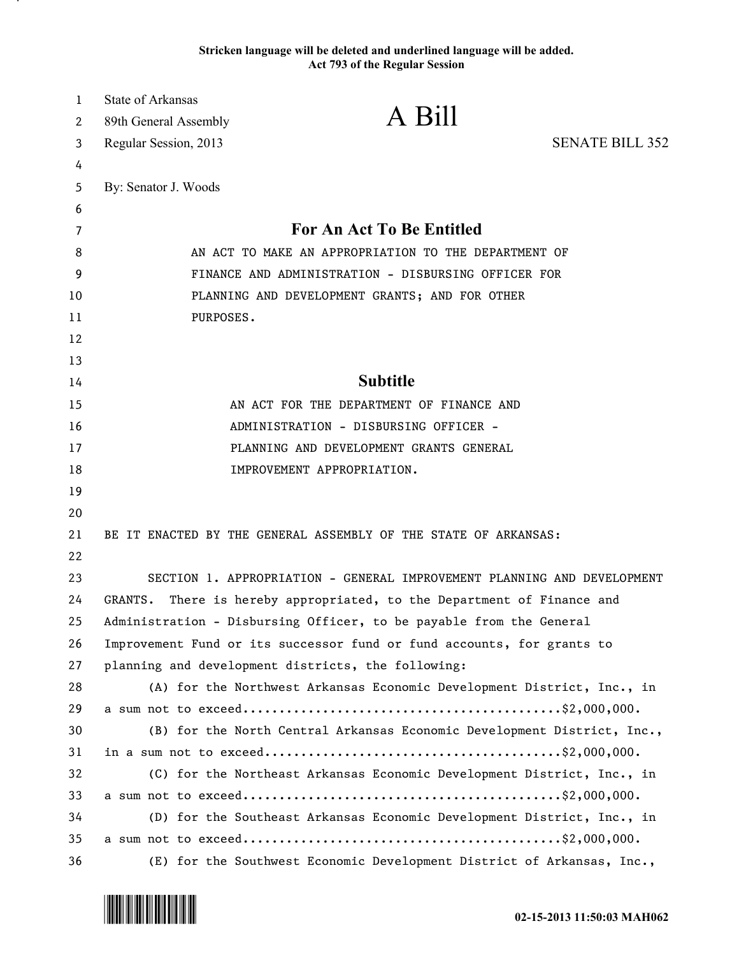## **Stricken language will be deleted and underlined language will be added. Act 793 of the Regular Session**

| $\mathbf{1}$ | <b>State of Arkansas</b>                                                  |                                                                         |                        |
|--------------|---------------------------------------------------------------------------|-------------------------------------------------------------------------|------------------------|
| 2            | 89th General Assembly                                                     | A Bill                                                                  |                        |
| 3            | Regular Session, 2013                                                     |                                                                         | <b>SENATE BILL 352</b> |
| 4            |                                                                           |                                                                         |                        |
| 5            | By: Senator J. Woods                                                      |                                                                         |                        |
| 6            |                                                                           |                                                                         |                        |
| 7            | <b>For An Act To Be Entitled</b>                                          |                                                                         |                        |
| 8            | AN ACT TO MAKE AN APPROPRIATION TO THE DEPARTMENT OF                      |                                                                         |                        |
| 9            | FINANCE AND ADMINISTRATION - DISBURSING OFFICER FOR                       |                                                                         |                        |
| 10           | PLANNING AND DEVELOPMENT GRANTS; AND FOR OTHER                            |                                                                         |                        |
| 11           | PURPOSES.                                                                 |                                                                         |                        |
| 12           |                                                                           |                                                                         |                        |
| 13           |                                                                           |                                                                         |                        |
| 14           | <b>Subtitle</b>                                                           |                                                                         |                        |
| 15           | AN ACT FOR THE DEPARTMENT OF FINANCE AND                                  |                                                                         |                        |
| 16           | ADMINISTRATION - DISBURSING OFFICER -                                     |                                                                         |                        |
| 17           | PLANNING AND DEVELOPMENT GRANTS GENERAL                                   |                                                                         |                        |
| 18           |                                                                           | IMPROVEMENT APPROPRIATION.                                              |                        |
| 19           |                                                                           |                                                                         |                        |
| 20           |                                                                           |                                                                         |                        |
| 21           |                                                                           | BE IT ENACTED BY THE GENERAL ASSEMBLY OF THE STATE OF ARKANSAS:         |                        |
| 22           |                                                                           |                                                                         |                        |
| 23           |                                                                           | SECTION 1. APPROPRIATION - GENERAL IMPROVEMENT PLANNING AND DEVELOPMENT |                        |
| 24           | GRANTS.<br>There is hereby appropriated, to the Department of Finance and |                                                                         |                        |
| 25           | Administration - Disbursing Officer, to be payable from the General       |                                                                         |                        |
| 26           | Improvement Fund or its successor fund or fund accounts, for grants to    |                                                                         |                        |
| 27           |                                                                           | planning and development districts, the following:                      |                        |
| 28           |                                                                           | (A) for the Northwest Arkansas Economic Development District, Inc., in  |                        |
| 29           |                                                                           |                                                                         |                        |
| 30           |                                                                           | (B) for the North Central Arkansas Economic Development District, Inc., |                        |
| 31           |                                                                           |                                                                         |                        |
| 32           |                                                                           | (C) for the Northeast Arkansas Economic Development District, Inc., in  |                        |
| 33           |                                                                           |                                                                         |                        |
| 34           |                                                                           | (D) for the Southeast Arkansas Economic Development District, Inc., in  |                        |
| 35           |                                                                           |                                                                         |                        |
| 36           |                                                                           | (E) for the Southwest Economic Development District of Arkansas, Inc.,  |                        |

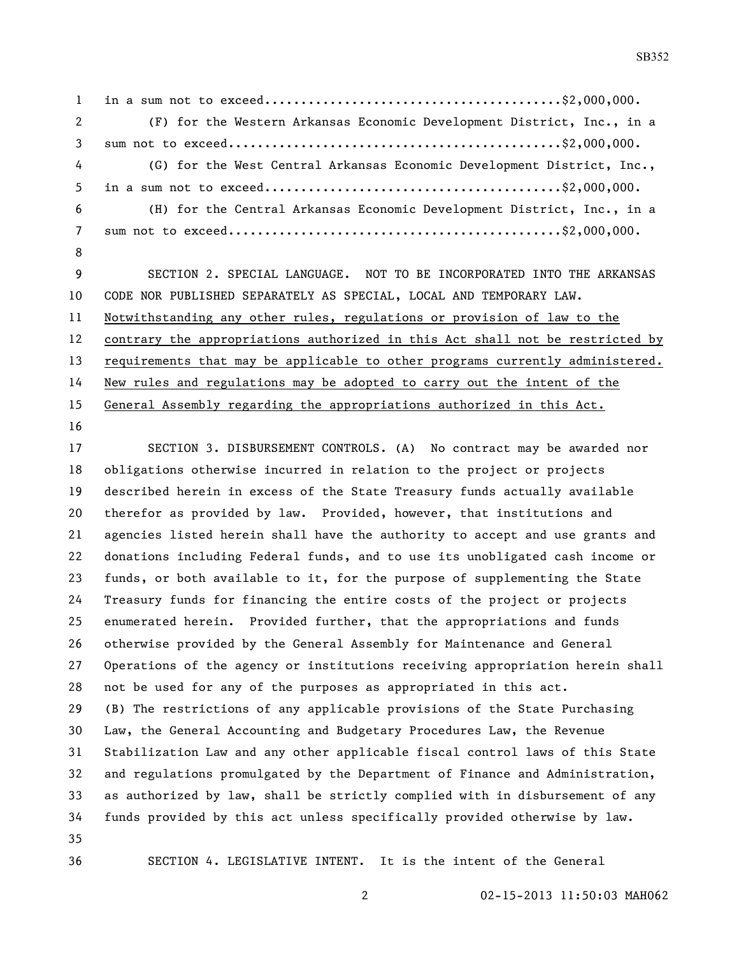in a sum not to exceed.........................................\$2,000,000. (F) for the Western Arkansas Economic Development District, Inc., in a sum not to exceed..............................................\$2,000,000. (G) for the West Central Arkansas Economic Development District, Inc., in a sum not to exceed.........................................\$2,000,000. (H) for the Central Arkansas Economic Development District, Inc., in a sum not to exceed..............................................\$2,000,000. SECTION 2. SPECIAL LANGUAGE. NOT TO BE INCORPORATED INTO THE ARKANSAS CODE NOR PUBLISHED SEPARATELY AS SPECIAL, LOCAL AND TEMPORARY LAW. Notwithstanding any other rules, regulations or provision of law to the

 contrary the appropriations authorized in this Act shall not be restricted by 13 requirements that may be applicable to other programs currently administered. New rules and regulations may be adopted to carry out the intent of the

General Assembly regarding the appropriations authorized in this Act.

 SECTION 3. DISBURSEMENT CONTROLS. (A) No contract may be awarded nor obligations otherwise incurred in relation to the project or projects described herein in excess of the State Treasury funds actually available therefor as provided by law. Provided, however, that institutions and agencies listed herein shall have the authority to accept and use grants and donations including Federal funds, and to use its unobligated cash income or funds, or both available to it, for the purpose of supplementing the State Treasury funds for financing the entire costs of the project or projects enumerated herein. Provided further, that the appropriations and funds otherwise provided by the General Assembly for Maintenance and General Operations of the agency or institutions receiving appropriation herein shall not be used for any of the purposes as appropriated in this act. (B) The restrictions of any applicable provisions of the State Purchasing Law, the General Accounting and Budgetary Procedures Law, the Revenue Stabilization Law and any other applicable fiscal control laws of this State and regulations promulgated by the Department of Finance and Administration, as authorized by law, shall be strictly complied with in disbursement of any funds provided by this act unless specifically provided otherwise by law. SECTION 4. LEGISLATIVE INTENT. It is the intent of the General